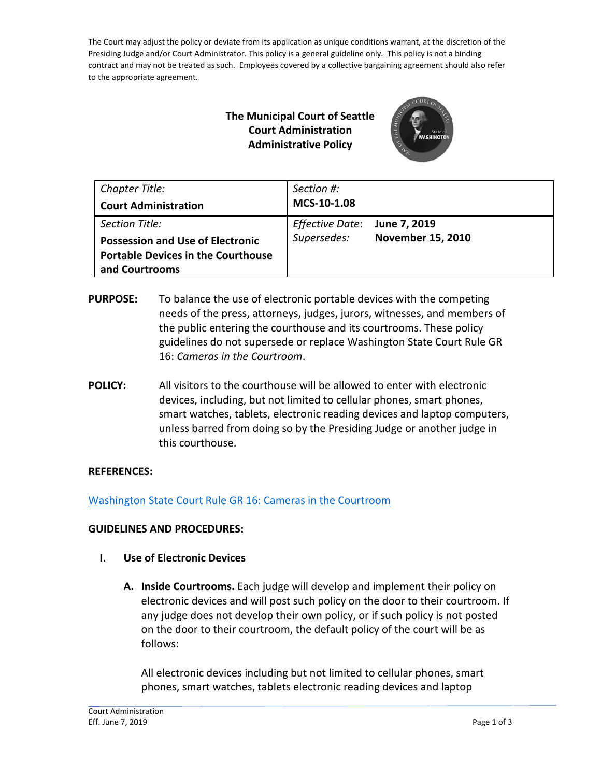The Court may adjust the policy or deviate from its application as unique conditions warrant, at the discretion of the Presiding Judge and/or Court Administrator. This policy is a general guideline only. This policy is not a binding contract and may not be treated as such. Employees covered by a collective bargaining agreement should also refer to the appropriate agreement.

# **The Municipal Court of Seattle Court Administration Administrative Policy**



| Chapter Title:<br><b>Court Administration</b>                                                                            | Section #:<br>MCS-10-1.08      |                                          |
|--------------------------------------------------------------------------------------------------------------------------|--------------------------------|------------------------------------------|
| Section Title:<br><b>Possession and Use of Electronic</b><br><b>Portable Devices in the Courthouse</b><br>and Courtrooms | Effective Date:<br>Supersedes: | June 7, 2019<br><b>November 15, 2010</b> |

- **PURPOSE:** To balance the use of electronic portable devices with the competing needs of the press, attorneys, judges, jurors, witnesses, and members of the public entering the courthouse and its courtrooms. These policy guidelines do not supersede or replace Washington State Court Rule GR 16: *Cameras in the Courtroom*.
- **POLICY:** All visitors to the courthouse will be allowed to enter with electronic devices, including, but not limited to cellular phones, smart phones, smart watches, tablets, electronic reading devices and laptop computers, unless barred from doing so by the Presiding Judge or another judge in this courthouse.

# **REFERENCES:**

[Washington State Court Rule GR 16: Cameras in the Courtroom](https://www.courts.wa.gov/court_rules/?fa=court_rules.display&group=ga&set=gr&ruleid=gagr16)

## **GUIDELINES AND PROCEDURES:**

- **I. Use of Electronic Devices**
	- **A. Inside Courtrooms.** Each judge will develop and implement their policy on electronic devices and will post such policy on the door to their courtroom. If any judge does not develop their own policy, or if such policy is not posted on the door to their courtroom, the default policy of the court will be as follows:

All electronic devices including but not limited to cellular phones, smart phones, smart watches, tablets electronic reading devices and laptop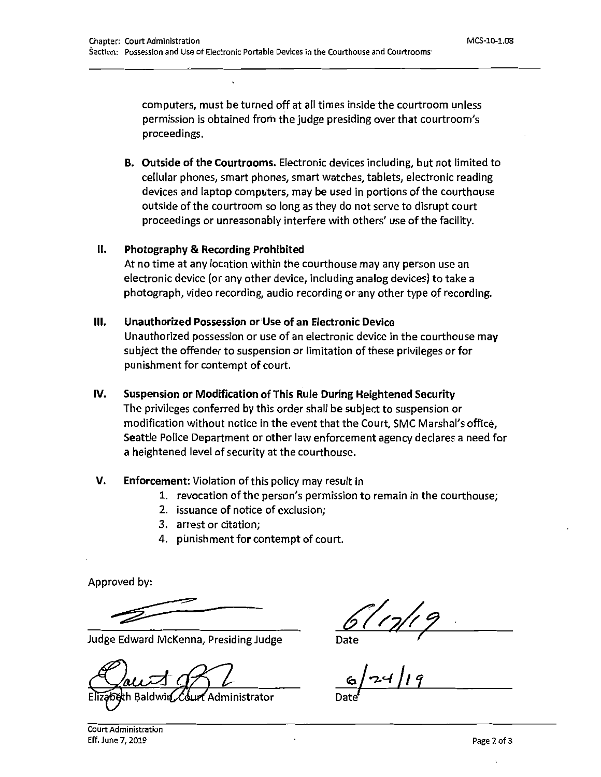computers, must be turned off at all times inside the courtroom unless permission is obtained from the judge presiding over that courtroom's proceedings.

B. Outside of the Courtrooms. Electronic devices including, but not limited to cellular phones, smart phones, smart watches, tablets, electronic reading devices and laptop computers, may be used in portions of the courthouse outside of the courtroom so long as they do not serve to disrupt court proceedings or unreasonably interfere with others' use of the facility.

#### $II.$ Photography & Recording Prohibited

At no time at any location within the courthouse may any person use an electronic device (or any other device, including analog devices) to take a photograph, video recording, audio recording or any other type of recording.

#### Unauthorized Possession or Use of an Electronic Device Ш.

Unauthorized possession or use of an electronic device in the courthouse may subject the offender to suspension or limitation of these privileges or for punishment for contempt of court.

#### IV. Suspension or Modification of This Rule During Heightened Security

The privileges conferred by this order shall be subject to suspension or modification without notice in the event that the Court, SMC Marshal's office, Seattle Police Department or other law enforcement agency declares a need for a heightened level of security at the courthouse.

#### V. Enforcement: Violation of this policy may result in

- 1. revocation of the person's permission to remain in the courthouse;
- 2. issuance of notice of exclusion;
- 3. arrest or citation:
- 4. punishment for contempt of court.

Approved by:

Judge Edward McKenna, Presiding Judge

dministrator

 $\frac{61/7/7}{2}$ <br>ate  $\frac{6}{7}$ 

Court Administration Eff. June 7, 2019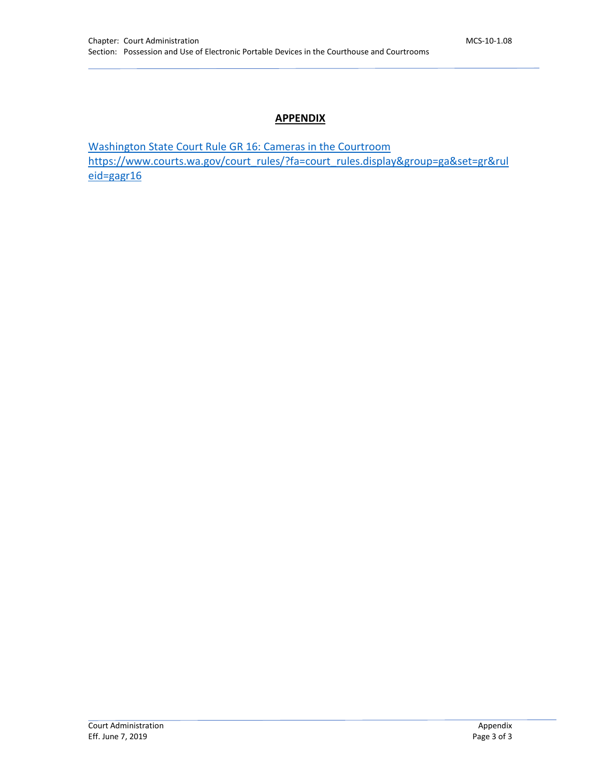## **APPENDIX**

[Washington State Court Rule GR 16: Cameras in the Courtroom](https://www.courts.wa.gov/court_rules/?fa=court_rules.display&group=ga&set=gr&ruleid=gagr16) [https://www.courts.wa.gov/court\\_rules/?fa=court\\_rules.display&group=ga&set=gr&rul](https://www.courts.wa.gov/court_rules/?fa=court_rules.display&group=ga&set=gr&ruleid=gagr16) [eid=gagr16](https://www.courts.wa.gov/court_rules/?fa=court_rules.display&group=ga&set=gr&ruleid=gagr16)